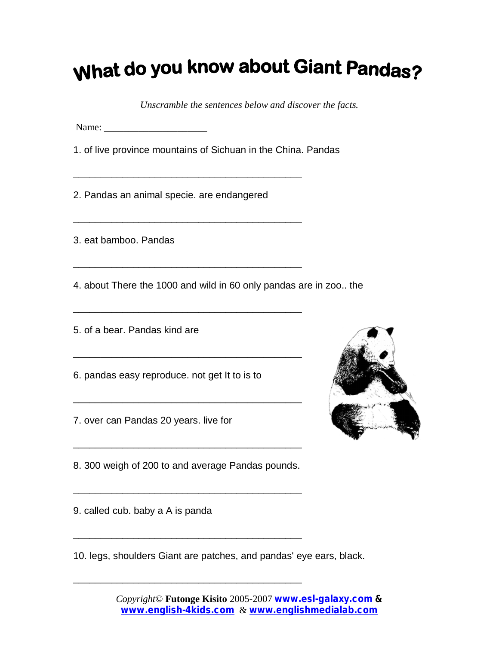## What do you know about Giant Pandas?

*Unscramble the sentences below and discover the facts.*

Name: \_\_\_\_\_\_\_\_\_\_\_\_\_\_\_\_\_\_\_\_\_

1. of live province mountains of Sichuan in the China. Pandas

2. Pandas an animal specie. are endangered

\_\_\_\_\_\_\_\_\_\_\_\_\_\_\_\_\_\_\_\_\_\_\_\_\_\_\_\_\_\_\_\_\_\_\_\_\_\_\_\_\_\_

\_\_\_\_\_\_\_\_\_\_\_\_\_\_\_\_\_\_\_\_\_\_\_\_\_\_\_\_\_\_\_\_\_\_\_\_\_\_\_\_\_\_

\_\_\_\_\_\_\_\_\_\_\_\_\_\_\_\_\_\_\_\_\_\_\_\_\_\_\_\_\_\_\_\_\_\_\_\_\_\_\_\_\_\_

\_\_\_\_\_\_\_\_\_\_\_\_\_\_\_\_\_\_\_\_\_\_\_\_\_\_\_\_\_\_\_\_\_\_\_\_\_\_\_\_\_\_

\_\_\_\_\_\_\_\_\_\_\_\_\_\_\_\_\_\_\_\_\_\_\_\_\_\_\_\_\_\_\_\_\_\_\_\_\_\_\_\_\_\_

3. eat bamboo. Pandas

4. about There the 1000 and wild in 60 only pandas are in zoo.. the

5. of a bear. Pandas kind are

6. pandas easy reproduce. not get It to is to

7. over can Pandas 20 years. live for

8. 300 weigh of 200 to and average Pandas pounds.

\_\_\_\_\_\_\_\_\_\_\_\_\_\_\_\_\_\_\_\_\_\_\_\_\_\_\_\_\_\_\_\_\_\_\_\_\_\_\_\_\_\_

\_\_\_\_\_\_\_\_\_\_\_\_\_\_\_\_\_\_\_\_\_\_\_\_\_\_\_\_\_\_\_\_\_\_\_\_\_\_\_\_\_\_

\_\_\_\_\_\_\_\_\_\_\_\_\_\_\_\_\_\_\_\_\_\_\_\_\_\_\_\_\_\_\_\_\_\_\_\_\_\_\_\_\_\_

\_\_\_\_\_\_\_\_\_\_\_\_\_\_\_\_\_\_\_\_\_\_\_\_\_\_\_\_\_\_\_\_\_\_\_\_\_\_\_\_\_\_

9. called cub. baby a A is panda

10. legs, shoulders Giant are patches, and pandas' eye ears, black.